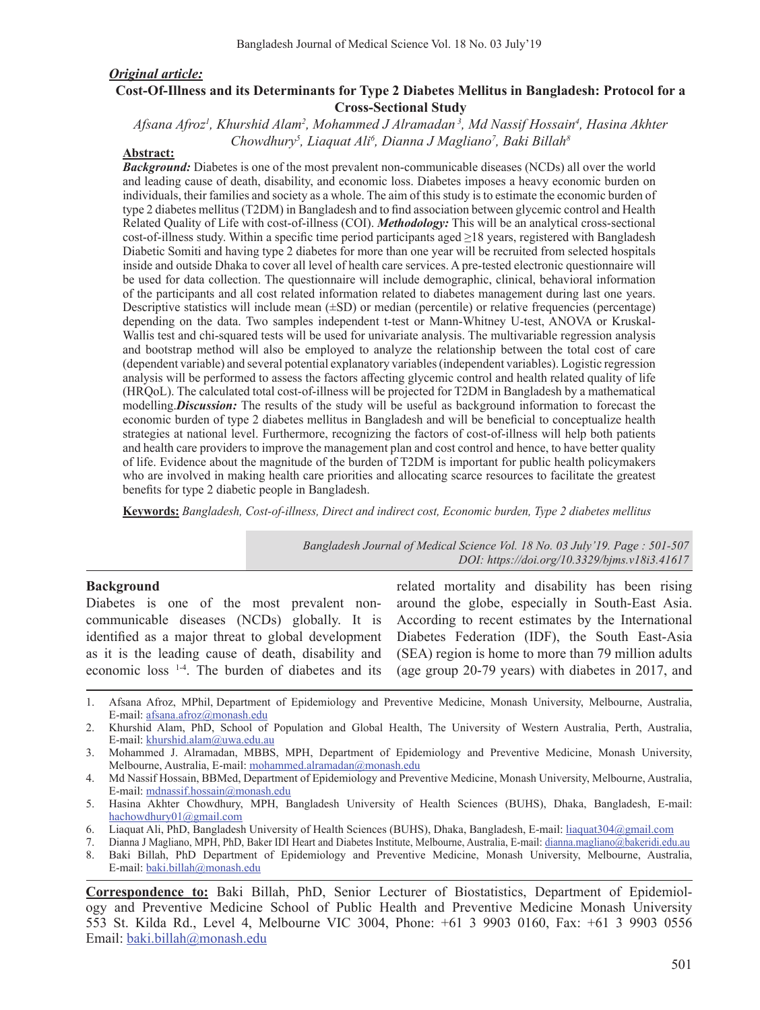### *Original article:*

#### **Cost-Of-Illness and its Determinants for Type 2 Diabetes Mellitus in Bangladesh: Protocol for a Cross-Sectional Study**

*Afsana Afroz1 , Khurshid Alam2 , Mohammed J Alramadan 3, Md Nassif Hossain4 , Hasina Akhter Chowdhury5 , Liaquat Ali6 , Dianna J Magliano7 , Baki Billah8*

#### **Abstract:**

*Background:* Diabetes is one of the most prevalent non-communicable diseases (NCDs) all over the world and leading cause of death, disability, and economic loss. Diabetes imposes a heavy economic burden on individuals, their families and society as a whole. The aim of this study is to estimate the economic burden of type 2 diabetes mellitus (T2DM) in Bangladesh and to find association between glycemic control and Health Related Quality of Life with cost-of-illness (COI). *Methodology:* This will be an analytical cross-sectional cost-of-illness study. Within a specific time period participants aged ≥18 years, registered with Bangladesh Diabetic Somiti and having type 2 diabetes for more than one year will be recruited from selected hospitals inside and outside Dhaka to cover all level of health care services. A pre-tested electronic questionnaire will be used for data collection. The questionnaire will include demographic, clinical, behavioral information of the participants and all cost related information related to diabetes management during last one years. Descriptive statistics will include mean (±SD) or median (percentile) or relative frequencies (percentage) depending on the data. Two samples independent t-test or Mann-Whitney U-test, ANOVA or Kruskal-Wallis test and chi-squared tests will be used for univariate analysis. The multivariable regression analysis and bootstrap method will also be employed to analyze the relationship between the total cost of care (dependent variable) and several potential explanatory variables (independent variables). Logistic regression analysis will be performed to assess the factors affecting glycemic control and health related quality of life (HRQoL). The calculated total cost-of-illness will be projected for T2DM in Bangladesh by a mathematical modelling.*Discussion:* The results of the study will be useful as background information to forecast the economic burden of type 2 diabetes mellitus in Bangladesh and will be beneficial to conceptualize health strategies at national level. Furthermore, recognizing the factors of cost-of-illness will help both patients and health care providers to improve the management plan and cost control and hence, to have better quality of life. Evidence about the magnitude of the burden of T2DM is important for public health policymakers who are involved in making health care priorities and allocating scarce resources to facilitate the greatest benefits for type 2 diabetic people in Bangladesh.

**Keywords:** *Bangladesh, Cost-of-illness, Direct and indirect cost, Economic burden, Type 2 diabetes mellitus* 

*Bangladesh Journal of Medical Science Vol. 18 No. 03 July'19. Page : 501-507 DOI: https://doi.org/10.3329/bjms.v18i3.41617*

#### **Background**

Diabetes is one of the most prevalent noncommunicable diseases (NCDs) globally. It is identified as a major threat to global development as it is the leading cause of death, disability and economic loss 1-4. The burden of diabetes and its

related mortality and disability has been rising around the globe, especially in South-East Asia. According to recent estimates by the International Diabetes Federation (IDF), the South East-Asia (SEA) region is home to more than 79 million adults (age group 20-79 years) with diabetes in 2017, and

**Correspondence to:** Baki Billah, PhD, Senior Lecturer of Biostatistics, Department of Epidemiology and Preventive Medicine School of Public Health and Preventive Medicine Monash University 553 St. Kilda Rd., Level 4, Melbourne VIC 3004, Phone: +61 3 9903 0160, Fax: +61 3 9903 0556 Email: baki.billah@monash.edu

<sup>1.</sup> Afsana Afroz, MPhil, Department of Epidemiology and Preventive Medicine, Monash University, Melbourne, Australia, E-mail: afsana.afroz@monash.edu

<sup>2.</sup> Khurshid Alam, PhD, School of Population and Global Health, The University of Western Australia, Perth, Australia, E-mail: khurshid.alam@uwa.edu.au

<sup>3.</sup> Mohammed J. Alramadan, MBBS, MPH, Department of Epidemiology and Preventive Medicine, Monash University, Melbourne, Australia, E-mail: mohammed.alramadan@monash.edu

<sup>4.</sup> Md Nassif Hossain, BBMed, Department of Epidemiology and Preventive Medicine, Monash University, Melbourne, Australia, E-mail: mdnassif.hossain@monash.edu

<sup>5.</sup> Hasina Akhter Chowdhury, MPH, Bangladesh University of Health Sciences (BUHS), Dhaka, Bangladesh, E-mail: hachowdhury01@gmail.com

<sup>6.</sup> Liaquat Ali, PhD, Bangladesh University of Health Sciences (BUHS), Dhaka, Bangladesh, E-mail: liaquat304@gmail.com

<sup>7.</sup> Dianna J Magliano, MPH, PhD, Baker IDI Heart and Diabetes Institute, Melbourne, Australia, E-mail: dianna.magliano@bakeridi.edu.au

<sup>8.</sup> Baki Billah, PhD Department of Epidemiology and Preventive Medicine, Monash University, Melbourne, Australia, E-mail: baki.billah@monash.edu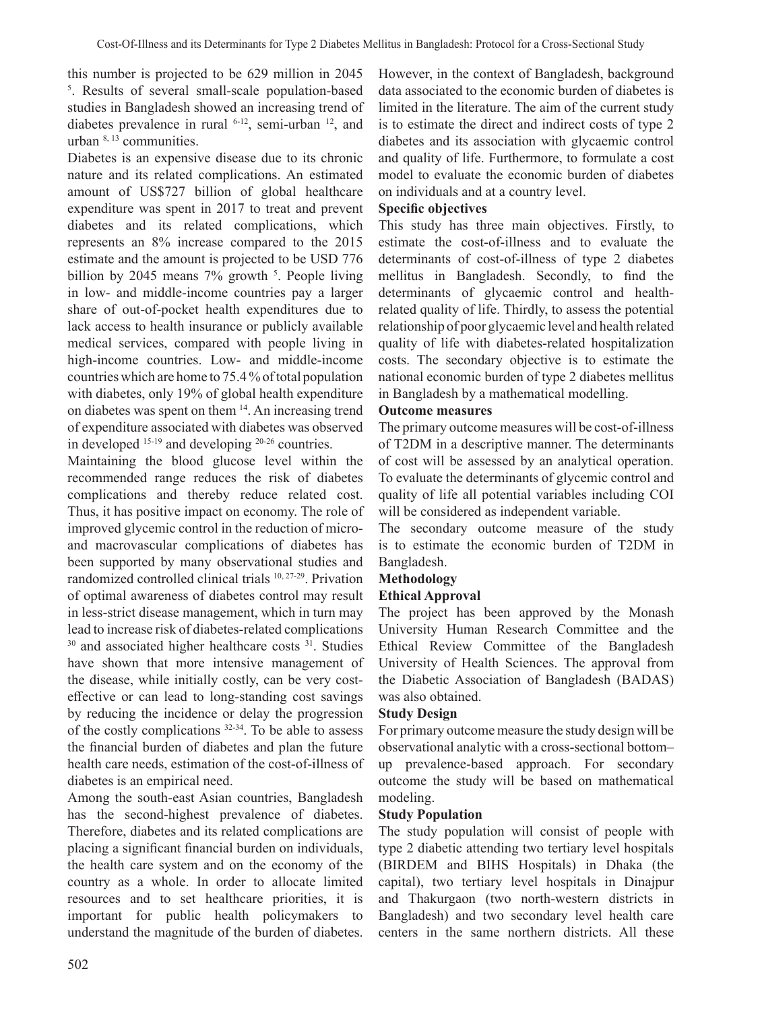this number is projected to be 629 million in 2045 5 . Results of several small-scale population-based studies in Bangladesh showed an increasing trend of diabetes prevalence in rural  $6-12$ , semi-urban  $12$ , and urban 8, 13 communities.

Diabetes is an expensive disease due to its chronic nature and its related complications. An estimated amount of US\$727 billion of global healthcare expenditure was spent in 2017 to treat and prevent diabetes and its related complications, which represents an 8% increase compared to the 2015 estimate and the amount is projected to be USD 776 billion by 2045 means  $7\%$  growth  $5$ . People living in low- and middle-income countries pay a larger share of out-of-pocket health expenditures due to lack access to health insurance or publicly available medical services, compared with people living in high-income countries. Low- and middle-income countries which are home to 75.4 % of total population with diabetes, only 19% of global health expenditure on diabetes was spent on them 14. An increasing trend of expenditure associated with diabetes was observed in developed 15-19 and developing 20-26 countries.

Maintaining the blood glucose level within the recommended range reduces the risk of diabetes complications and thereby reduce related cost. Thus, it has positive impact on economy. The role of improved glycemic control in the reduction of microand macrovascular complications of diabetes has been supported by many observational studies and randomized controlled clinical trials 10, 27-29. Privation of optimal awareness of diabetes control may result in less-strict disease management, which in turn may lead to increase risk of diabetes-related complications <sup>30</sup> and associated higher healthcare costs<sup>31</sup>. Studies have shown that more intensive management of the disease, while initially costly, can be very costeffective or can lead to long-standing cost savings by reducing the incidence or delay the progression of the costly complications 32-34. To be able to assess the financial burden of diabetes and plan the future health care needs, estimation of the cost-of-illness of diabetes is an empirical need.

Among the south-east Asian countries, Bangladesh has the second-highest prevalence of diabetes. Therefore, diabetes and its related complications are placing a significant financial burden on individuals, the health care system and on the economy of the country as a whole. In order to allocate limited resources and to set healthcare priorities, it is important for public health policymakers to understand the magnitude of the burden of diabetes.

However, in the context of Bangladesh, background data associated to the economic burden of diabetes is limited in the literature. The aim of the current study is to estimate the direct and indirect costs of type 2 diabetes and its association with glycaemic control and quality of life. Furthermore, to formulate a cost model to evaluate the economic burden of diabetes on individuals and at a country level.

## **Specific objectives**

This study has three main objectives. Firstly, to estimate the cost-of-illness and to evaluate the determinants of cost-of-illness of type 2 diabetes mellitus in Bangladesh. Secondly, to find the determinants of glycaemic control and healthrelated quality of life. Thirdly, to assess the potential relationship of poor glycaemic level and health related quality of life with diabetes-related hospitalization costs. The secondary objective is to estimate the national economic burden of type 2 diabetes mellitus in Bangladesh by a mathematical modelling.

## **Outcome measures**

The primary outcome measures will be cost-of-illness of T2DM in a descriptive manner. The determinants of cost will be assessed by an analytical operation. To evaluate the determinants of glycemic control and quality of life all potential variables including COI will be considered as independent variable.

The secondary outcome measure of the study is to estimate the economic burden of T2DM in Bangladesh.

## **Methodology**

## **Ethical Approval**

The project has been approved by the Monash University Human Research Committee and the Ethical Review Committee of the Bangladesh University of Health Sciences. The approval from the Diabetic Association of Bangladesh (BADAS) was also obtained.

#### **Study Design**

For primary outcome measure the study design will be observational analytic with a cross-sectional bottom– up prevalence-based approach. For secondary outcome the study will be based on mathematical modeling.

#### **Study Population**

The study population will consist of people with type 2 diabetic attending two tertiary level hospitals (BIRDEM and BIHS Hospitals) in Dhaka (the capital), two tertiary level hospitals in Dinajpur and Thakurgaon (two north-western districts in Bangladesh) and two secondary level health care centers in the same northern districts. All these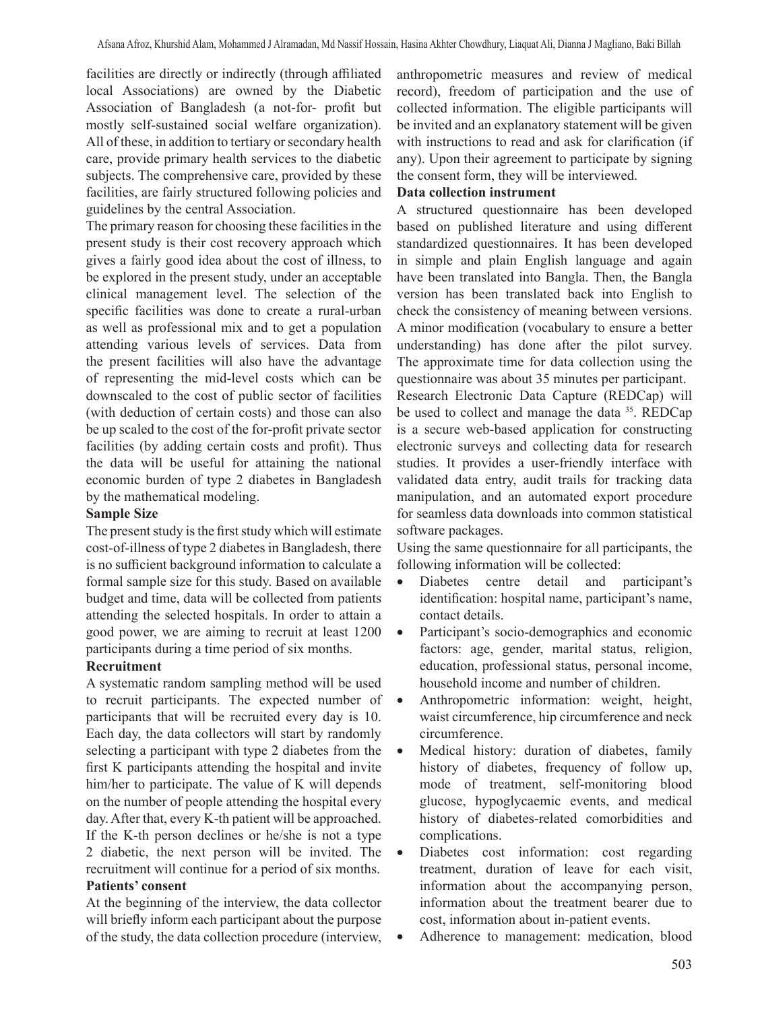facilities are directly or indirectly (through affiliated local Associations) are owned by the Diabetic Association of Bangladesh (a not-for- profit but mostly self-sustained social welfare organization). All of these, in addition to tertiary or secondary health care, provide primary health services to the diabetic subjects. The comprehensive care, provided by these facilities, are fairly structured following policies and guidelines by the central Association.

The primary reason for choosing these facilities in the present study is their cost recovery approach which gives a fairly good idea about the cost of illness, to be explored in the present study, under an acceptable clinical management level. The selection of the specific facilities was done to create a rural-urban as well as professional mix and to get a population attending various levels of services. Data from the present facilities will also have the advantage of representing the mid-level costs which can be downscaled to the cost of public sector of facilities (with deduction of certain costs) and those can also be up scaled to the cost of the for-profit private sector facilities (by adding certain costs and profit). Thus the data will be useful for attaining the national economic burden of type 2 diabetes in Bangladesh by the mathematical modeling.

#### **Sample Size**

The present study is the first study which will estimate cost-of-illness of type 2 diabetes in Bangladesh, there is no sufficient background information to calculate a formal sample size for this study. Based on available budget and time, data will be collected from patients attending the selected hospitals. In order to attain a good power, we are aiming to recruit at least 1200 participants during a time period of six months.

## **Recruitment**

A systematic random sampling method will be used to recruit participants. The expected number of participants that will be recruited every day is 10. Each day, the data collectors will start by randomly selecting a participant with type 2 diabetes from the first K participants attending the hospital and invite him/her to participate. The value of K will depends on the number of people attending the hospital every day. After that, every K-th patient will be approached. If the K-th person declines or he/she is not a type 2 diabetic, the next person will be invited. The recruitment will continue for a period of six months. **Patients' consent**

At the beginning of the interview, the data collector will briefly inform each participant about the purpose of the study, the data collection procedure (interview,

anthropometric measures and review of medical record), freedom of participation and the use of collected information. The eligible participants will be invited and an explanatory statement will be given with instructions to read and ask for clarification (if any). Upon their agreement to participate by signing the consent form, they will be interviewed.

### **Data collection instrument**

A structured questionnaire has been developed based on published literature and using different standardized questionnaires. It has been developed in simple and plain English language and again have been translated into Bangla. Then, the Bangla version has been translated back into English to check the consistency of meaning between versions. A minor modification (vocabulary to ensure a better understanding) has done after the pilot survey. The approximate time for data collection using the questionnaire was about 35 minutes per participant.

Research Electronic Data Capture (REDCap) will be used to collect and manage the data 35. REDCap is a secure web-based application for constructing electronic surveys and collecting data for research studies. It provides a user-friendly interface with validated data entry, audit trails for tracking data manipulation, and an automated export procedure for seamless data downloads into common statistical software packages.

Using the same questionnaire for all participants, the following information will be collected:

- Diabetes centre detail and participant's identification: hospital name, participant's name, contact details.
- Participant's socio-demographics and economic factors: age, gender, marital status, religion, education, professional status, personal income, household income and number of children.
- Anthropometric information: weight, height, waist circumference, hip circumference and neck circumference.
- Medical history: duration of diabetes, family history of diabetes, frequency of follow up, mode of treatment, self-monitoring blood glucose, hypoglycaemic events, and medical history of diabetes-related comorbidities and complications.
- Diabetes cost information: cost regarding treatment, duration of leave for each visit, information about the accompanying person, information about the treatment bearer due to cost, information about in-patient events.
- Adherence to management: medication, blood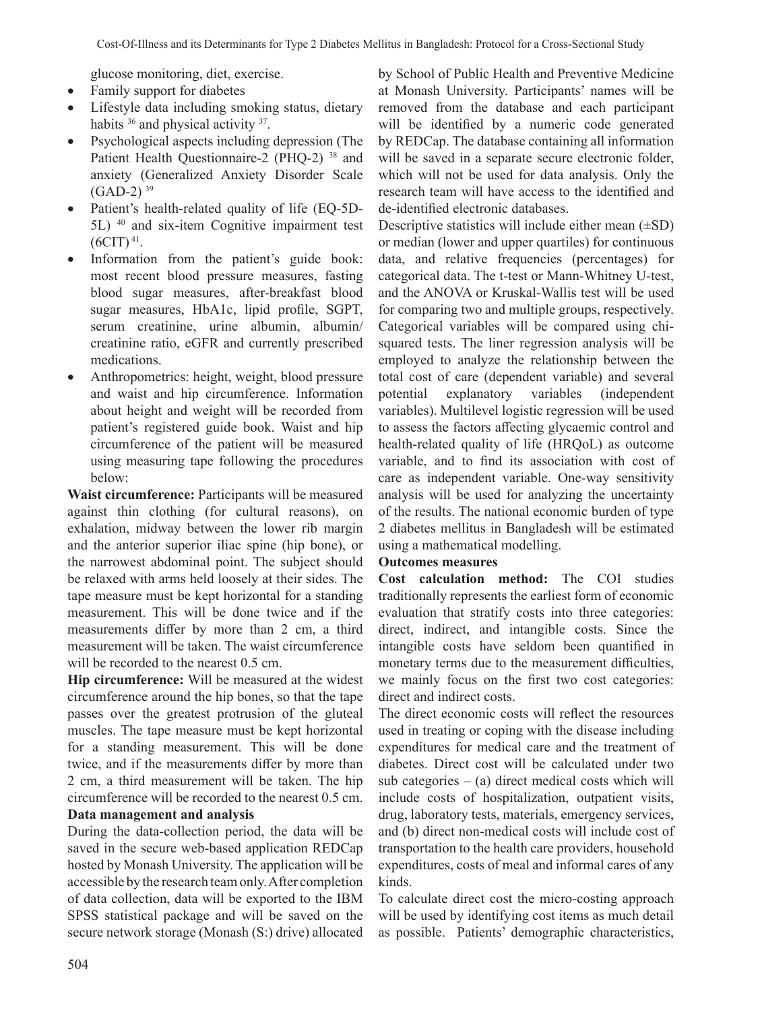glucose monitoring, diet, exercise.

- Family support for diabetes
- Lifestyle data including smoking status, dietary habits <sup>36</sup> and physical activity <sup>37</sup>.
- Psychological aspects including depression (The Patient Health Questionnaire-2 (PHQ-2) 38 and anxiety (Generalized Anxiety Disorder Scale  $(GAD-2)^{39}$
- Patient's health-related quality of life (EQ-5D-5L) 40 and six-item Cognitive impairment test  $(6CIT)^{41}$ .
- Information from the patient's guide book: most recent blood pressure measures, fasting blood sugar measures, after-breakfast blood sugar measures, HbA1c, lipid profile, SGPT, serum creatinine, urine albumin, albumin/ creatinine ratio, eGFR and currently prescribed medications.
- Anthropometrics: height, weight, blood pressure and waist and hip circumference. Information about height and weight will be recorded from patient's registered guide book. Waist and hip circumference of the patient will be measured using measuring tape following the procedures below:

**Waist circumference:** Participants will be measured against thin clothing (for cultural reasons), on exhalation, midway between the lower rib margin and the anterior superior iliac spine (hip bone), or the narrowest abdominal point. The subject should be relaxed with arms held loosely at their sides. The tape measure must be kept horizontal for a standing measurement. This will be done twice and if the measurements differ by more than 2 cm, a third measurement will be taken. The waist circumference will be recorded to the nearest  $0.5$  cm.

**Hip circumference:** Will be measured at the widest circumference around the hip bones, so that the tape passes over the greatest protrusion of the gluteal muscles. The tape measure must be kept horizontal for a standing measurement. This will be done twice, and if the measurements differ by more than 2 cm, a third measurement will be taken. The hip circumference will be recorded to the nearest 0.5 cm. **Data management and analysis**

During the data-collection period, the data will be saved in the secure web-based application REDCap hosted by Monash University. The application will be accessible by the research team only. After completion of data collection, data will be exported to the IBM SPSS statistical package and will be saved on the secure network storage (Monash (S:) drive) allocated by School of Public Health and Preventive Medicine at Monash University. Participants' names will be removed from the database and each participant will be identified by a numeric code generated by REDCap. The database containing all information will be saved in a separate secure electronic folder, which will not be used for data analysis. Only the research team will have access to the identified and de-identified electronic databases.

Descriptive statistics will include either mean  $(\pm SD)$ or median (lower and upper quartiles) for continuous data, and relative frequencies (percentages) for categorical data. The t-test or Mann-Whitney U-test, and the ANOVA or Kruskal-Wallis test will be used for comparing two and multiple groups, respectively. Categorical variables will be compared using chisquared tests. The liner regression analysis will be employed to analyze the relationship between the total cost of care (dependent variable) and several potential explanatory variables (independent variables). Multilevel logistic regression will be used to assess the factors affecting glycaemic control and health-related quality of life (HRQoL) as outcome variable, and to find its association with cost of care as independent variable. One-way sensitivity analysis will be used for analyzing the uncertainty of the results. The national economic burden of type 2 diabetes mellitus in Bangladesh will be estimated using a mathematical modelling.

## **Outcomes measures**

**Cost calculation method:** The COI studies traditionally represents the earliest form of economic evaluation that stratify costs into three categories: direct, indirect, and intangible costs. Since the intangible costs have seldom been quantified in monetary terms due to the measurement difficulties, we mainly focus on the first two cost categories: direct and indirect costs.

The direct economic costs will reflect the resources used in treating or coping with the disease including expenditures for medical care and the treatment of diabetes. Direct cost will be calculated under two sub categories  $-$  (a) direct medical costs which will include costs of hospitalization, outpatient visits, drug, laboratory tests, materials, emergency services, and (b) direct non-medical costs will include cost of transportation to the health care providers, household expenditures, costs of meal and informal cares of any kinds.

To calculate direct cost the micro-costing approach will be used by identifying cost items as much detail as possible. Patients' demographic characteristics,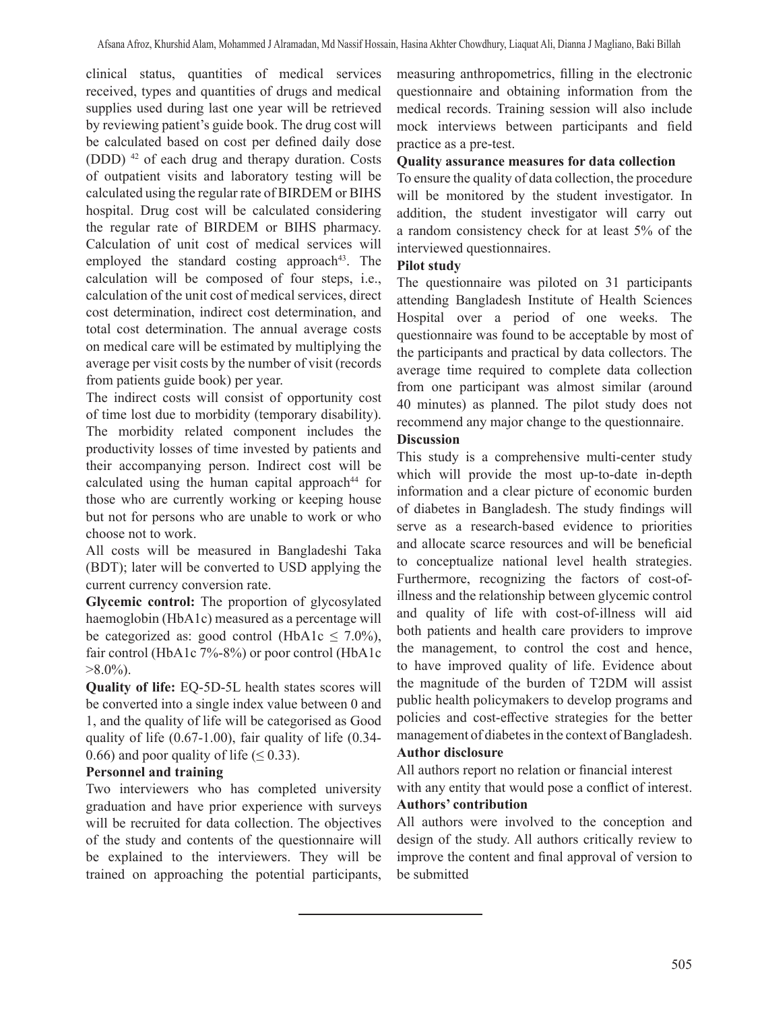clinical status, quantities of medical services received, types and quantities of drugs and medical supplies used during last one year will be retrieved by reviewing patient's guide book. The drug cost will be calculated based on cost per defined daily dose (DDD) 42 of each drug and therapy duration. Costs of outpatient visits and laboratory testing will be calculated using the regular rate of BIRDEM or BIHS hospital. Drug cost will be calculated considering the regular rate of BIRDEM or BIHS pharmacy. Calculation of unit cost of medical services will employed the standard costing approach<sup>43</sup>. The calculation will be composed of four steps, i.e., calculation of the unit cost of medical services, direct cost determination, indirect cost determination, and total cost determination. The annual average costs on medical care will be estimated by multiplying the average per visit costs by the number of visit (records from patients guide book) per year.

The indirect costs will consist of opportunity cost of time lost due to morbidity (temporary disability). The morbidity related component includes the productivity losses of time invested by patients and their accompanying person. Indirect cost will be calculated using the human capital approach $44$  for those who are currently working or keeping house but not for persons who are unable to work or who choose not to work.

All costs will be measured in Bangladeshi Taka (BDT); later will be converted to USD applying the current currency conversion rate.

**Glycemic control:** The proportion of glycosylated haemoglobin (HbA1c) measured as a percentage will be categorized as: good control (HbA1c  $\leq$  7.0%), fair control (HbA1c 7%-8%) or poor control (HbA1c  $>8.0\%$ ).

**Quality of life:** EQ-5D-5L health states scores will be converted into a single index value between 0 and 1, and the quality of life will be categorised as Good quality of life (0.67-1.00), fair quality of life (0.34- 0.66) and poor quality of life ( $\leq$  0.33).

# **Personnel and training**

Two interviewers who has completed university graduation and have prior experience with surveys will be recruited for data collection. The objectives of the study and contents of the questionnaire will be explained to the interviewers. They will be trained on approaching the potential participants, measuring anthropometrics, filling in the electronic questionnaire and obtaining information from the medical records. Training session will also include mock interviews between participants and field practice as a pre-test.

## **Quality assurance measures for data collection**

To ensure the quality of data collection, the procedure will be monitored by the student investigator. In addition, the student investigator will carry out a random consistency check for at least 5% of the interviewed questionnaires.

# **Pilot study**

The questionnaire was piloted on 31 participants attending Bangladesh Institute of Health Sciences Hospital over a period of one weeks. The questionnaire was found to be acceptable by most of the participants and practical by data collectors. The average time required to complete data collection from one participant was almost similar (around 40 minutes) as planned. The pilot study does not recommend any major change to the questionnaire.

# **Discussion**

This study is a comprehensive multi-center study which will provide the most up-to-date in-depth information and a clear picture of economic burden of diabetes in Bangladesh. The study findings will serve as a research-based evidence to priorities and allocate scarce resources and will be beneficial to conceptualize national level health strategies. Furthermore, recognizing the factors of cost-ofillness and the relationship between glycemic control and quality of life with cost-of-illness will aid both patients and health care providers to improve the management, to control the cost and hence, to have improved quality of life. Evidence about the magnitude of the burden of T2DM will assist public health policymakers to develop programs and policies and cost-effective strategies for the better management of diabetes in the context of Bangladesh.

## **Author disclosure**

All authors report no relation or financial interest with any entity that would pose a conflict of interest.

### **Authors' contribution**

All authors were involved to the conception and design of the study. All authors critically review to improve the content and final approval of version to be submitted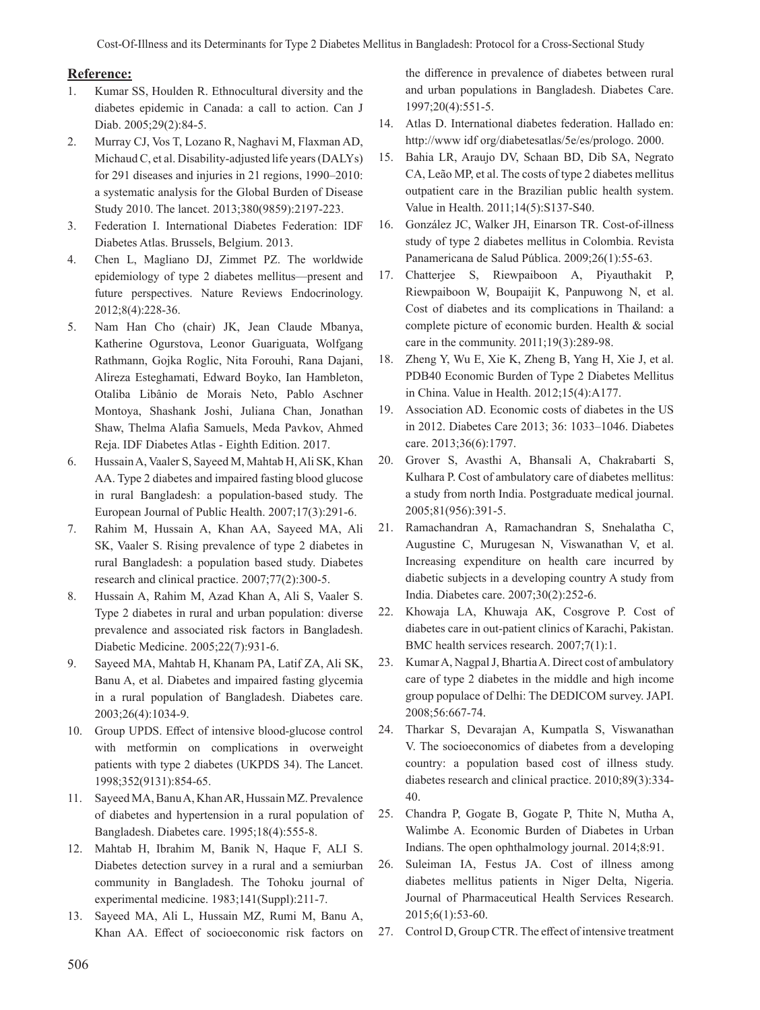#### **Reference:**

- 1. Kumar SS, Houlden R. Ethnocultural diversity and the diabetes epidemic in Canada: a call to action. Can J Diab. 2005;29(2):84-5.
- 2. Murray CJ, Vos T, Lozano R, Naghavi M, Flaxman AD, Michaud C, et al. Disability-adjusted life years (DALYs) for 291 diseases and injuries in 21 regions, 1990–2010: a systematic analysis for the Global Burden of Disease Study 2010. The lancet. 2013;380(9859):2197-223.
- 3. Federation I. International Diabetes Federation: IDF Diabetes Atlas. Brussels, Belgium. 2013.
- 4. Chen L, Magliano DJ, Zimmet PZ. The worldwide epidemiology of type 2 diabetes mellitus—present and future perspectives. Nature Reviews Endocrinology. 2012;8(4):228-36.
- 5. Nam Han Cho (chair) JK, Jean Claude Mbanya, Katherine Ogurstova, Leonor Guariguata, Wolfgang Rathmann, Gojka Roglic, Nita Forouhi, Rana Dajani, Alireza Esteghamati, Edward Boyko, Ian Hambleton, Otaliba Libânio de Morais Neto, Pablo Aschner Montoya, Shashank Joshi, Juliana Chan, Jonathan Shaw, Thelma Alafia Samuels, Meda Pavkov, Ahmed Reja. IDF Diabetes Atlas - Eighth Edition. 2017.
- 6. Hussain A, Vaaler S, Sayeed M, Mahtab H, Ali SK, Khan AA. Type 2 diabetes and impaired fasting blood glucose in rural Bangladesh: a population-based study. The European Journal of Public Health. 2007;17(3):291-6.
- 7. Rahim M, Hussain A, Khan AA, Sayeed MA, Ali SK, Vaaler S. Rising prevalence of type 2 diabetes in rural Bangladesh: a population based study. Diabetes research and clinical practice. 2007;77(2):300-5.
- 8. Hussain A, Rahim M, Azad Khan A, Ali S, Vaaler S. Type 2 diabetes in rural and urban population: diverse prevalence and associated risk factors in Bangladesh. Diabetic Medicine. 2005;22(7):931-6.
- 9. Sayeed MA, Mahtab H, Khanam PA, Latif ZA, Ali SK, Banu A, et al. Diabetes and impaired fasting glycemia in a rural population of Bangladesh. Diabetes care. 2003;26(4):1034-9.
- 10. Group UPDS. Effect of intensive blood-glucose control with metformin on complications in overweight patients with type 2 diabetes (UKPDS 34). The Lancet. 1998;352(9131):854-65.
- 11. Sayeed MA, Banu A, Khan AR, Hussain MZ. Prevalence of diabetes and hypertension in a rural population of Bangladesh. Diabetes care. 1995;18(4):555-8.
- 12. Mahtab H, Ibrahim M, Banik N, Haque F, ALI S. Diabetes detection survey in a rural and a semiurban community in Bangladesh. The Tohoku journal of experimental medicine. 1983;141(Suppl):211-7.
- 13. Sayeed MA, Ali L, Hussain MZ, Rumi M, Banu A, Khan AA. Effect of socioeconomic risk factors on

the difference in prevalence of diabetes between rural and urban populations in Bangladesh. Diabetes Care. 1997;20(4):551-5.

- 14. Atlas D. International diabetes federation. Hallado en: http://www idf org/diabetesatlas/5e/es/prologo. 2000.
- 15. Bahia LR, Araujo DV, Schaan BD, Dib SA, Negrato CA, Leão MP, et al. The costs of type 2 diabetes mellitus outpatient care in the Brazilian public health system. Value in Health. 2011;14(5):S137-S40.
- 16. González JC, Walker JH, Einarson TR. Cost-of-illness study of type 2 diabetes mellitus in Colombia. Revista Panamericana de Salud Pública. 2009;26(1):55-63.
- 17. Chatterjee S, Riewpaiboon A, Piyauthakit P, Riewpaiboon W, Boupaijit K, Panpuwong N, et al. Cost of diabetes and its complications in Thailand: a complete picture of economic burden. Health & social care in the community. 2011;19(3):289-98.
- 18. Zheng Y, Wu E, Xie K, Zheng B, Yang H, Xie J, et al. PDB40 Economic Burden of Type 2 Diabetes Mellitus in China. Value in Health. 2012;15(4):A177.
- 19. Association AD. Economic costs of diabetes in the US in 2012. Diabetes Care 2013; 36: 1033–1046. Diabetes care. 2013;36(6):1797.
- 20. Grover S, Avasthi A, Bhansali A, Chakrabarti S, Kulhara P. Cost of ambulatory care of diabetes mellitus: a study from north India. Postgraduate medical journal. 2005;81(956):391-5.
- 21. Ramachandran A, Ramachandran S, Snehalatha C, Augustine C, Murugesan N, Viswanathan V, et al. Increasing expenditure on health care incurred by diabetic subjects in a developing country A study from India. Diabetes care. 2007;30(2):252-6.
- 22. Khowaja LA, Khuwaja AK, Cosgrove P. Cost of diabetes care in out-patient clinics of Karachi, Pakistan. BMC health services research. 2007;7(1):1.
- 23. Kumar A, Nagpal J, Bhartia A. Direct cost of ambulatory care of type 2 diabetes in the middle and high income group populace of Delhi: The DEDICOM survey. JAPI. 2008;56:667-74.
- 24. Tharkar S, Devarajan A, Kumpatla S, Viswanathan V. The socioeconomics of diabetes from a developing country: a population based cost of illness study. diabetes research and clinical practice. 2010;89(3):334- 40.
- 25. Chandra P, Gogate B, Gogate P, Thite N, Mutha A, Walimbe A. Economic Burden of Diabetes in Urban Indians. The open ophthalmology journal. 2014;8:91.
- 26. Suleiman IA, Festus JA. Cost of illness among diabetes mellitus patients in Niger Delta, Nigeria. Journal of Pharmaceutical Health Services Research. 2015;6(1):53-60.
- 27. Control D, Group CTR. The effect of intensive treatment